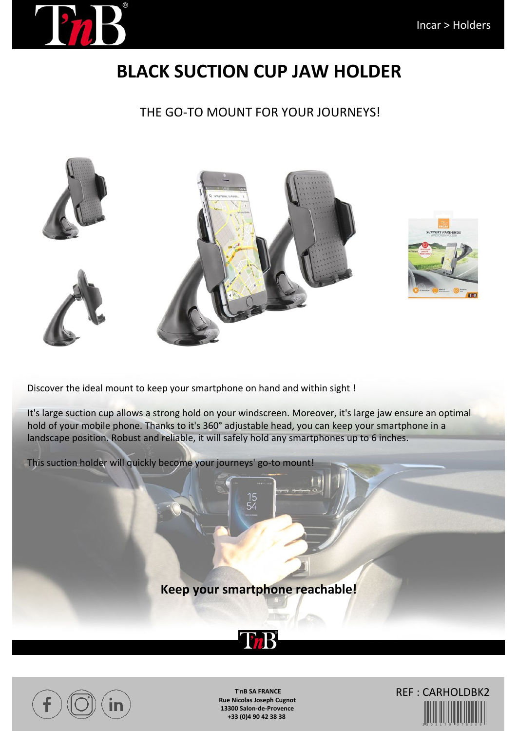

## **BLACK SUCTION CUP JAW HOLDER**

THE GO-TO MOUNT FOR YOUR JOURNEYS!





Discover the ideal mount to keep your smartphone on hand and within sight !

It's large suction cup allows a strong hold on your windscreen. Moreover, it's large jaw ensure an optimal hold of your mobile phone. Thanks to it's 360° adjustable head, you can keep your smartphone in a landscape position. Robust and reliable, it will safely hold any smartphones up to 6 inches.

This suction holder will quickly become your journeys' go-to mount!

**Keep your smartphone reachable!**





**T'nB SA FRANCE Rue Nicolas Joseph Cugnot 13300 Salon-de-Provence +33 (0)4 90 42 38 38**